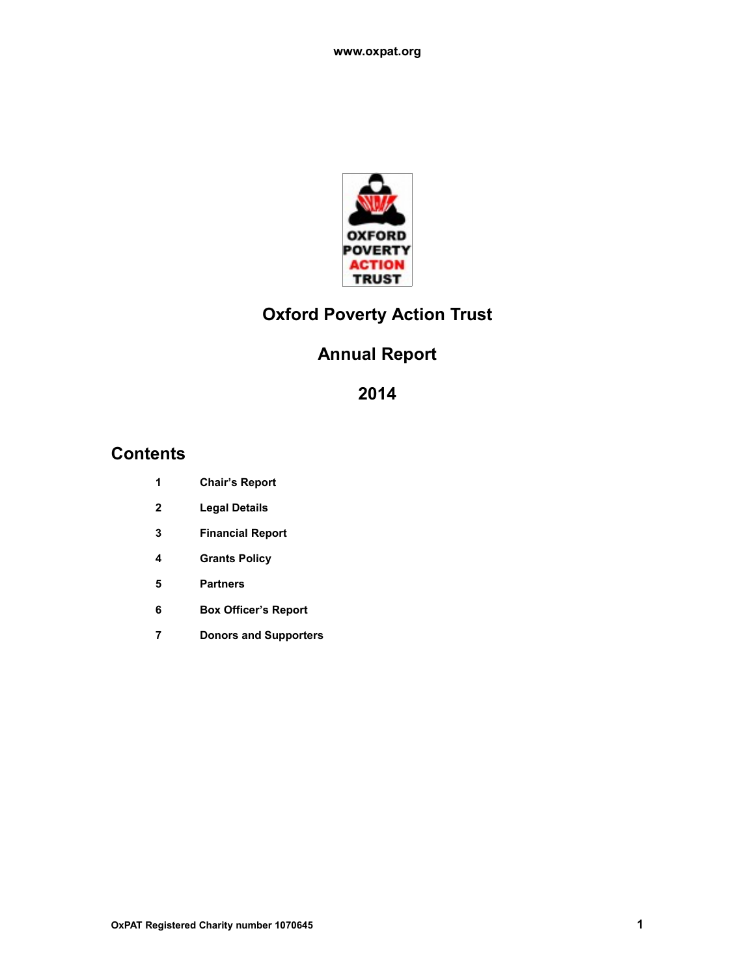

# **Oxford Poverty Action Trust**

# **Annual Report**

# **Contents**

- **Chair's Report**
- **Legal Details**
- **Financial Report**
- **Grants Policy**
- **Partners**
- **Box Officer's Report**
- **Donors and Supporters**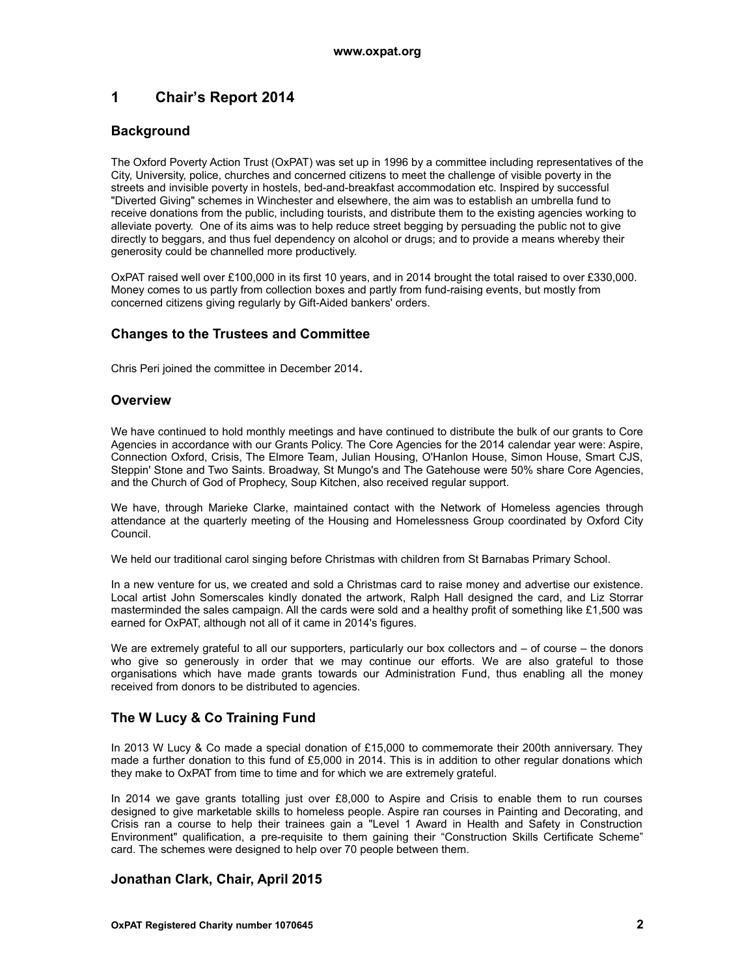# **1 Chair's Report 2014**

## **Background**

The Oxford Poverty Action Trust (OxPAT) was set up in 1996 by a committee including representatives of the City, University, police, churches and concerned citizens to meet the challenge of visible poverty in the streets and invisible poverty in hostels, bed-and-breakfast accommodation etc. Inspired by successful "Diverted Giving" schemes in Winchester and elsewhere, the aim was to establish an umbrella fund to receive donations from the public, including tourists, and distribute them to the existing agencies working to alleviate poverty. One of its aims was to help reduce street begging by persuading the public not to give directly to beggars, and thus fuel dependency on alcohol or drugs; and to provide a means whereby their generosity could be channelled more productively.

OxPAT raised well over £100,000 in its first 10 years, and in 2014 brought the total raised to over £330,000. Money comes to us partly from collection boxes and partly from fund-raising events, but mostly from concerned citizens giving regularly by Gift-Aided bankers' orders.

## **Changes to the Trustees and Committee**

Chris Peri joined the committee in December 2014.

## **Overview**

We have continued to hold monthly meetings and have continued to distribute the bulk of our grants to Core Agencies in accordance with our Grants Policy. The Core Agencies for the 2014 calendar year were: Aspire, Connection Oxford, Crisis, The Elmore Team, Julian Housing, O'Hanlon House, Simon House, Smart CJS, Steppin' Stone and Two Saints. Broadway, St Mungo's and The Gatehouse were 50% share Core Agencies, and the Church of God of Prophecy, Soup Kitchen, also received regular support.

We have, through Marieke Clarke, maintained contact with the Network of Homeless agencies through attendance at the quarterly meeting of the Housing and Homelessness Group coordinated by Oxford City Council.

We held our traditional carol singing before Christmas with children from St Barnabas Primary School.

In a new venture for us, we created and sold a Christmas card to raise money and advertise our existence. Local artist John Somerscales kindly donated the artwork, Ralph Hall designed the card, and Liz Storrar masterminded the sales campaign. All the cards were sold and a healthy profit of something like £1,500 was earned for OxPAT, although not all of it came in 2014's figures.

We are extremely grateful to all our supporters, particularly our box collectors and – of course – the donors who give so generously in order that we may continue our efforts. We are also grateful to those organisations which have made grants towards our Administration Fund, thus enabling all the money received from donors to be distributed to agencies.

## **The W Lucy & Co Training Fund**

In 2013 W Lucy & Co made a special donation of £15,000 to commemorate their 200th anniversary. They made a further donation to this fund of £5,000 in 2014. This is in addition to other regular donations which they make to OxPAT from time to time and for which we are extremely grateful.

In 2014 we gave grants totalling just over £8,000 to Aspire and Crisis to enable them to run courses designed to give marketable skills to homeless people. Aspire ran courses in Painting and Decorating, and Crisis ran a course to help their trainees gain a "Level 1 Award in Health and Safety in Construction Environment" qualification, a pre-requisite to them gaining their "Construction Skills Certificate Scheme" card. The schemes were designed to help over 70 people between them.

## **Jonathan Clark, Chair, April 2015**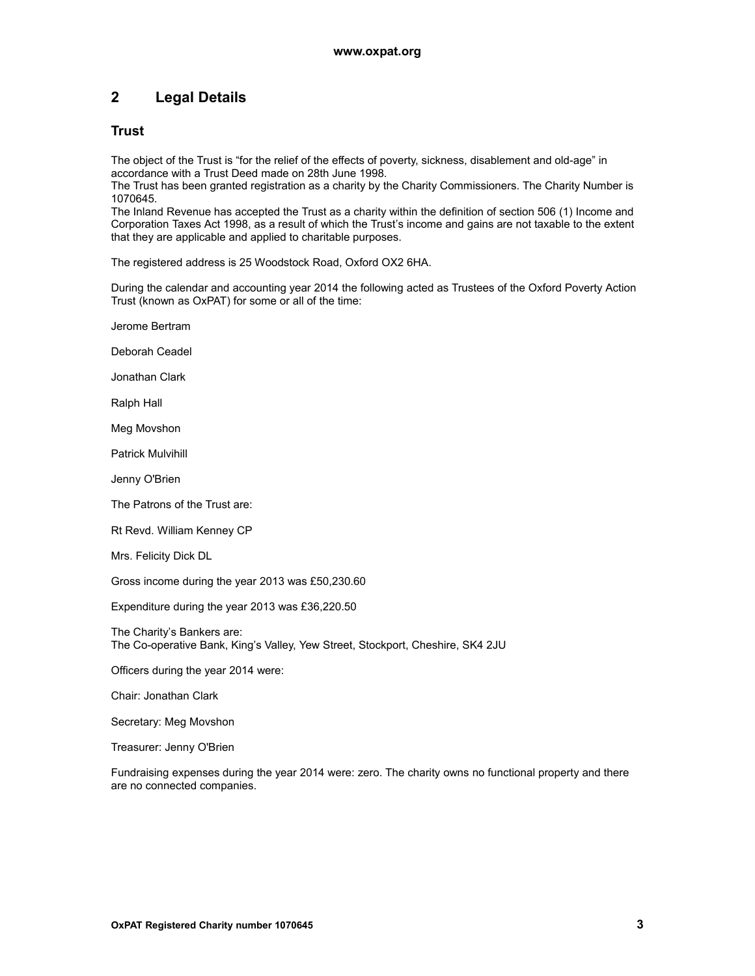# **2 Legal Details**

## **Trust**

The object of the Trust is "for the relief of the effects of poverty, sickness, disablement and old-age" in accordance with a Trust Deed made on 28th June 1998.

The Trust has been granted registration as a charity by the Charity Commissioners. The Charity Number is 1070645.

The Inland Revenue has accepted the Trust as a charity within the definition of section 506 (1) Income and Corporation Taxes Act 1998, as a result of which the Trust's income and gains are not taxable to the extent that they are applicable and applied to charitable purposes.

The registered address is 25 Woodstock Road, Oxford OX2 6HA.

During the calendar and accounting year 2014 the following acted as Trustees of the Oxford Poverty Action Trust (known as OxPAT) for some or all of the time:

Jerome Bertram

Deborah Ceadel

Jonathan Clark

Ralph Hall

Meg Movshon

Patrick Mulvihill

Jenny O'Brien

The Patrons of the Trust are:

Rt Revd. William Kenney CP

Mrs. Felicity Dick DL

Gross income during the year 2013 was £50,230.60

Expenditure during the year 2013 was £36,220.50

The Charity's Bankers are: The Co-operative Bank, King's Valley, Yew Street, Stockport, Cheshire, SK4 2JU

Officers during the year 2014 were:

Chair: Jonathan Clark

Secretary: Meg Movshon

Treasurer: Jenny O'Brien

Fundraising expenses during the year 2014 were: zero. The charity owns no functional property and there are no connected companies.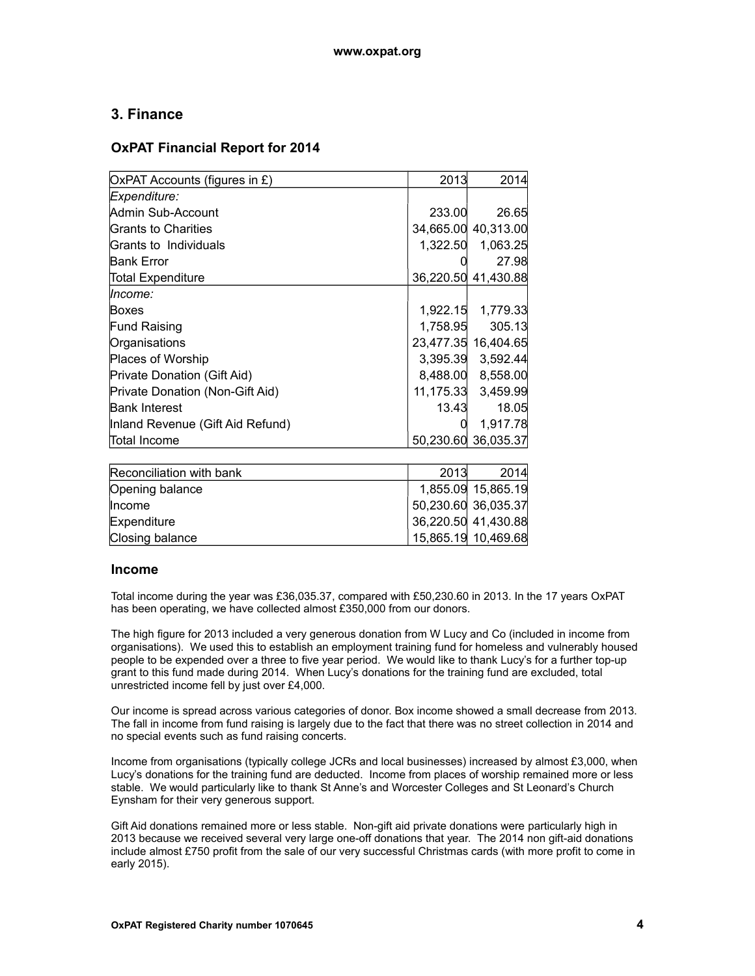# **3. Finance**

## **OxPAT Financial Report for 2014**

| OxPAT Accounts (figures in £)<br>Expenditure: | 233.00   |                     |
|-----------------------------------------------|----------|---------------------|
|                                               |          |                     |
| Admin Sub-Account                             |          | 26.65               |
| Grants to Charities                           |          | 34,665.00 40,313.00 |
| Grants to Individuals                         |          | 1,322.50 1,063.25   |
| <b>Bank Error</b>                             |          | 27.98               |
| <b>Total Expenditure</b>                      |          | 36,220.50 41,430.88 |
| <i>\Income:</i>                               |          |                     |
| <b>Boxes</b>                                  |          | 1,922.15 1,779.33   |
| <b>Fund Raising</b>                           | 1,758.95 | 305.13              |
| Organisations                                 |          | 23,477.35 16,404.65 |
| <b>Places of Worship</b>                      |          | 3,395.39 3,592.44   |
| Private Donation (Gift Aid)                   |          | 8,488.00 8,558.00   |
| Private Donation (Non-Gift Aid)               |          | 11,175.33 3,459.99  |
| <b>Bank Interest</b>                          | 13.43    | 18.05               |
| Inland Revenue (Gift Aid Refund)              |          | 1,917.78            |
| Total Income                                  |          | 50,230.60 36,035.37 |
|                                               |          |                     |

| Reconciliation with bank | 2013                | 2014               |
|--------------------------|---------------------|--------------------|
| Opening balance          |                     | 1,855.09 15,865.19 |
| Income                   | 50,230.60 36,035.37 |                    |
| Expenditure              | 36,220.50 41,430.88 |                    |
| Closing balance          | 15,865.19 10,469.68 |                    |

## **Income**

Total income during the year was £36,035.37, compared with £50,230.60 in 2013. In the 17 years OxPAT has been operating, we have collected almost £350,000 from our donors.

The high figure for 2013 included a very generous donation from W Lucy and Co (included in income from organisations). We used this to establish an employment training fund for homeless and vulnerably housed people to be expended over a three to five year period. We would like to thank Lucy's for a further top-up grant to this fund made during 2014. When Lucy's donations for the training fund are excluded, total unrestricted income fell by just over £4,000.

Our income is spread across various categories of donor. Box income showed a small decrease from 2013. The fall in income from fund raising is largely due to the fact that there was no street collection in 2014 and no special events such as fund raising concerts.

Income from organisations (typically college JCRs and local businesses) increased by almost £3,000, when Lucy's donations for the training fund are deducted. Income from places of worship remained more or less stable. We would particularly like to thank St Anne's and Worcester Colleges and St Leonard's Church Eynsham for their very generous support.

Gift Aid donations remained more or less stable. Non-gift aid private donations were particularly high in 2013 because we received several very large one-off donations that year. The 2014 non gift-aid donations include almost £750 profit from the sale of our very successful Christmas cards (with more profit to come in early 2015).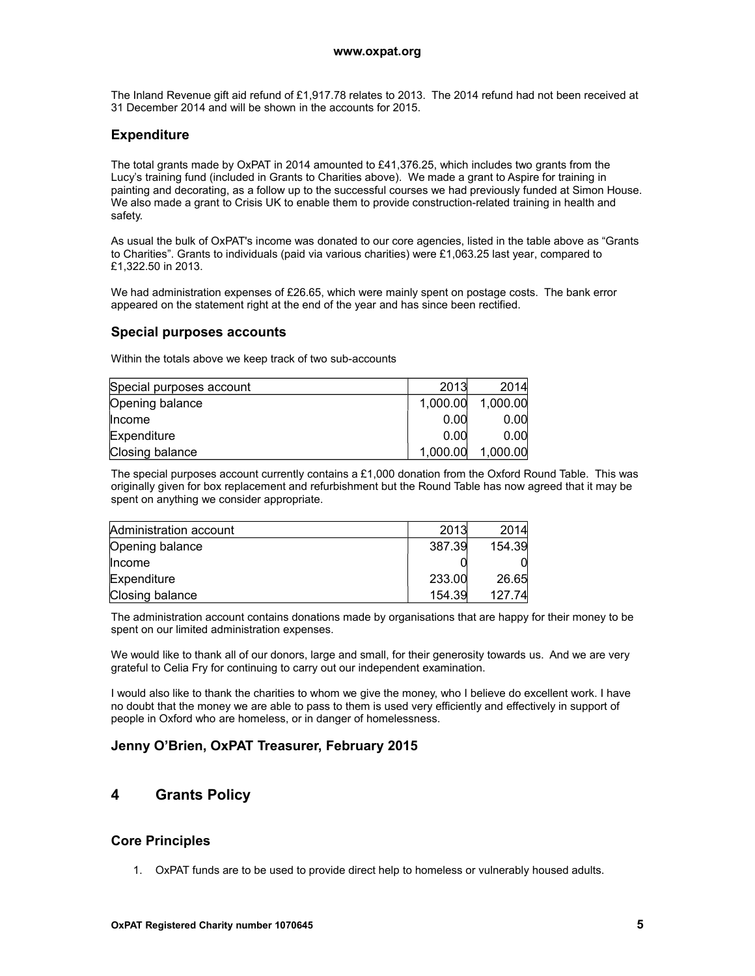The Inland Revenue gift aid refund of £1,917.78 relates to 2013. The 2014 refund had not been received at 31 December 2014 and will be shown in the accounts for 2015.

## **Expenditure**

The total grants made by OxPAT in 2014 amounted to £41,376.25, which includes two grants from the Lucy's training fund (included in Grants to Charities above). We made a grant to Aspire for training in painting and decorating, as a follow up to the successful courses we had previously funded at Simon House. We also made a grant to Crisis UK to enable them to provide construction-related training in health and safety.

As usual the bulk of OxPAT's income was donated to our core agencies, listed in the table above as "Grants to Charities". Grants to individuals (paid via various charities) were £1,063.25 last year, compared to £1,322.50 in 2013.

We had administration expenses of £26.65, which were mainly spent on postage costs. The bank error appeared on the statement right at the end of the year and has since been rectified.

#### **Special purposes accounts**

Within the totals above we keep track of two sub-accounts

| Special purposes account | 2013     | 2014     |
|--------------------------|----------|----------|
| Opening balance          | 1,000.00 | 1,000.00 |
| Income                   | 0.00     | 0.00     |
| Expenditure              | 0.00     | 0.00     |
| Closing balance          | 1,000.00 | 1,000.00 |

The special purposes account currently contains a £1,000 donation from the Oxford Round Table. This was originally given for box replacement and refurbishment but the Round Table has now agreed that it may be spent on anything we consider appropriate.

| Administration account | 2013   | 2014   |
|------------------------|--------|--------|
| Opening balance        | 387.39 | 154.39 |
| <b>Income</b>          |        |        |
| Expenditure            | 233.00 | 26.65  |
| Closing balance        | 154.39 | 127.74 |

The administration account contains donations made by organisations that are happy for their money to be spent on our limited administration expenses.

We would like to thank all of our donors, large and small, for their generosity towards us. And we are very grateful to Celia Fry for continuing to carry out our independent examination.

I would also like to thank the charities to whom we give the money, who I believe do excellent work. I have no doubt that the money we are able to pass to them is used very efficiently and effectively in support of people in Oxford who are homeless, or in danger of homelessness.

## **Jenny O'Brien, OxPAT Treasurer, February 2015**

## **4 Grants Policy**

## **Core Principles**

1. OxPAT funds are to be used to provide direct help to homeless or vulnerably housed adults.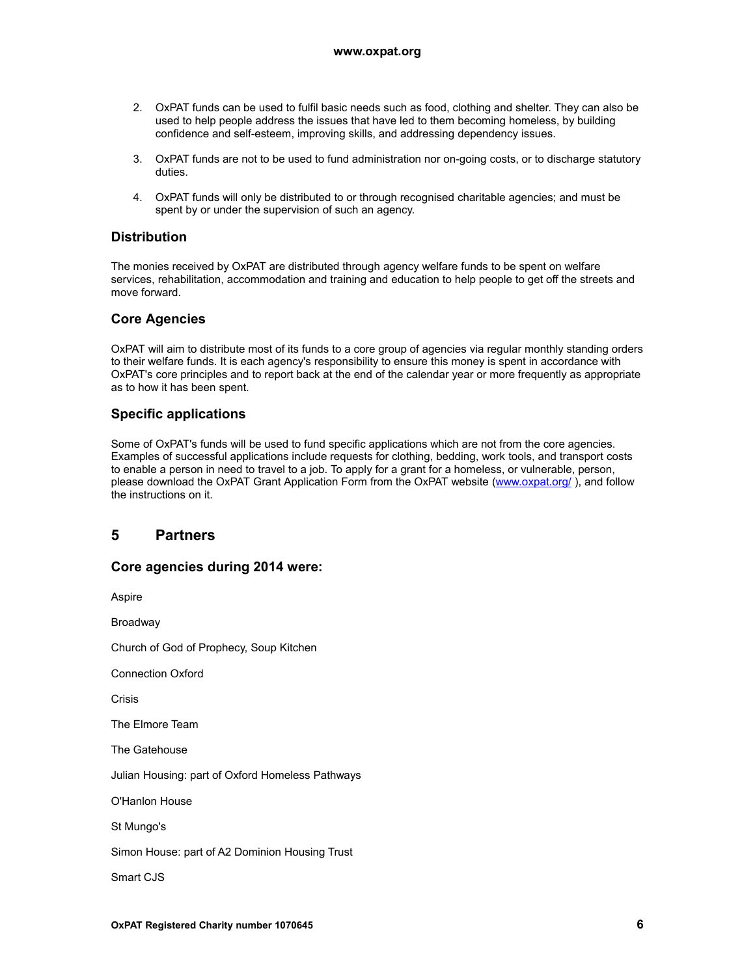- 2. OxPAT funds can be used to fulfil basic needs such as food, clothing and shelter. They can also be used to help people address the issues that have led to them becoming homeless, by building confidence and self-esteem, improving skills, and addressing dependency issues.
- 3. OxPAT funds are not to be used to fund administration nor on-going costs, or to discharge statutory duties.
- 4. OxPAT funds will only be distributed to or through recognised charitable agencies; and must be spent by or under the supervision of such an agency.

#### **Distribution**

The monies received by OxPAT are distributed through agency welfare funds to be spent on welfare services, rehabilitation, accommodation and training and education to help people to get off the streets and move forward.

#### **Core Agencies**

OxPAT will aim to distribute most of its funds to a core group of agencies via regular monthly standing orders to their welfare funds. It is each agency's responsibility to ensure this money is spent in accordance with OxPAT's core principles and to report back at the end of the calendar year or more frequently as appropriate as to how it has been spent.

#### **Specific applications**

Some of OxPAT's funds will be used to fund specific applications which are not from the core agencies. Examples of successful applications include requests for clothing, bedding, work tools, and transport costs to enable a person in need to travel to a job. To apply for a grant for a homeless, or vulnerable, person, please download the OxPAT Grant Application Form from the OxPAT website (www.oxpat.org/), and follow the instructions on it.

## **5 Partners**

#### **Core agencies during 2014 were:**

Aspire Broadway Church of God of Prophecy, Soup Kitchen Connection Oxford Crisis The Elmore Team The Gatehouse Julian Housing: part of Oxford Homeless Pathways O'Hanlon House St Mungo's Simon House: part of A2 Dominion Housing Trust Smart CJS